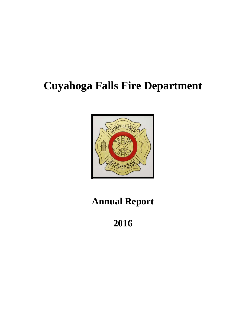# **Cuyahoga Falls Fire Department**



# **Annual Report**

**2016**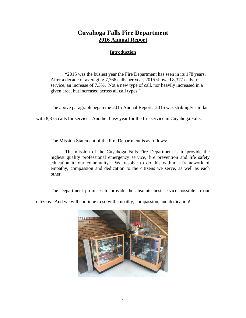# **Cuyahoga Falls Fire Department 2016 Annual Report**

## **Introduction**

"2015 was the busiest year the Fire Department has seen in its 178 years. After a decade of averaging 7,766 calls per year, 2015 showed 8,377 calls for service, an increase of 7.3%. Not a new type of call, nor heavily increased in a given area, but increased across all call types."

The above paragraph began the 2015 Annual Report. 2016 was strikingly similar

with 8,375 calls for service. Another busy year for the fire service in Cuyahoga Falls.

The Mission Statement of the Fire Department is as follows:

The mission of the Cuyahoga Falls Fire Department is to provide the highest quality professional emergency service, fire prevention and life safety education to our community. We resolve to do this within a framework of empathy, compassion and dedication to the citizens we serve, as well as each other.

The Department promises to provide the absolute best service possible to our

citizens. And we will continue to so will empathy, compassion, and dedication!

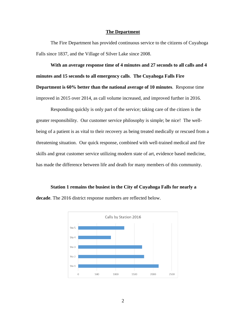#### **The Department**

The Fire Department has provided continuous service to the citizens of Cuyahoga Falls since 1837, and the Village of Silver Lake since 2008.

**With an average response time of 4 minutes and 27 seconds to all calls and 4 minutes and 15 seconds to all emergency calls**. **The Cuyahoga Falls Fire Department is 60% better than the national average of 10 minutes**. Response time improved in 2015 over 2014, as call volume increased, and improved further in 2016.

Responding quickly is only part of the service; taking care of the citizen is the greater responsibility. Our customer service philosophy is simple; be nice! The wellbeing of a patient is as vital to their recovery as being treated medically or rescued from a threatening situation. Our quick response, combined with well-trained medical and fire skills and great customer service utilizing modern state of art, evidence based medicine, has made the difference between life and death for many members of this community.

**Station 1 remains the busiest in the City of Cuyahoga Falls for nearly a decade**. The 2016 district response numbers are reflected below.

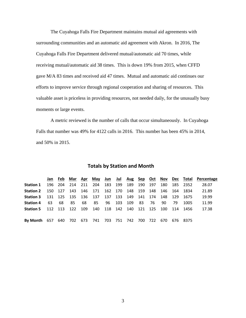The Cuyahoga Falls Fire Department maintains mutual aid agreements with surrounding communities and an automatic aid agreement with Akron. In 2016, The Cuyahoga Falls Fire Department delivered mutual/automatic aid 70 times, while receiving mutual/automatic aid 38 times. This is down 19% from 2015, when CFFD gave M/A 83 times and received aid 47 times. Mutual and automatic aid continues our efforts to improve service through regional cooperation and sharing of resources. This valuable asset is priceless in providing resources, not needed daily, for the unusually busy moments or large events.

A metric reviewed is the number of calls that occur simultaneously. In Cuyahoga Falls that number was 49% for 4122 calls in 2016. This number has been 45% in 2014, and 50% in 2015.

|  | <b>Totals by Station and Month</b> |  |
|--|------------------------------------|--|

|                                                                       |     |     |    |    |                                                      |  |                  |     |     |     |              | Jan Feb Mar Apr May Jun Jul Aug Sep Oct Nov Dec Total Percentage |
|-----------------------------------------------------------------------|-----|-----|----|----|------------------------------------------------------|--|------------------|-----|-----|-----|--------------|------------------------------------------------------------------|
| <b>Station 1</b>                                                      |     |     |    |    | 196 204 214 211 204 183 199 189 190 197              |  |                  |     |     |     | 180 185 2352 | 28.07                                                            |
| <b>Station 2</b>                                                      |     |     |    |    | 150 127 143 146 171 162 170 148 159 148 146 164 1834 |  |                  |     |     |     |              | 21.89                                                            |
| <b>Station 3</b>                                                      |     |     |    |    | 131 125 135 136 137 137 133 149 141 174 148 129 1675 |  |                  |     |     |     |              | 19.99                                                            |
| <b>Station 4</b>                                                      | -63 | -68 | 85 | 68 |                                                      |  | 85 96 103 109 83 | -76 | 90. | 79. | 1005         | 11.99                                                            |
| <b>Station 5</b> 112 113 122 109 140 118 142 140 121 125 100 114 1456 |     |     |    |    |                                                      |  |                  |     |     |     |              | 17.38                                                            |
|                                                                       |     |     |    |    |                                                      |  |                  |     |     |     |              |                                                                  |
| By Month 657 640 702 673 741 703 751 742 700 722 670 676 8375         |     |     |    |    |                                                      |  |                  |     |     |     |              |                                                                  |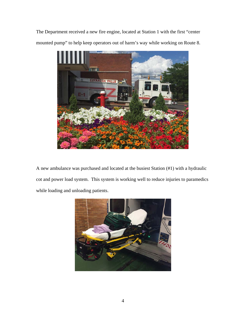The Department received a new fire engine, located at Station 1 with the first "center mounted pump" to help keep operators out of harm's way while working on Route 8.



A new ambulance was purchased and located at the busiest Station (#1) with a hydraulic cot and power load system. This system is working well to reduce injuries to paramedics while loading and unloading patients.

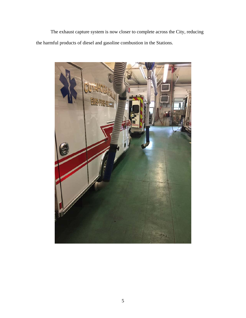The exhaust capture system is now closer to complete across the City, reducing the harmful products of diesel and gasoline combustion in the Stations.

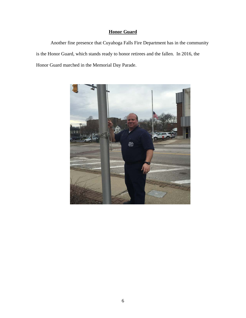# **Honor Guard**

Another fine presence that Cuyahoga Falls Fire Department has in the community is the Honor Guard, which stands ready to honor retirees and the fallen. In 2016, the Honor Guard marched in the Memorial Day Parade.

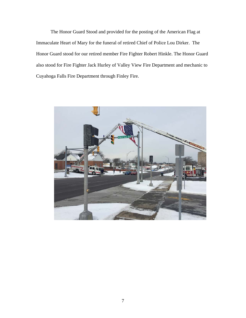The Honor Guard Stood and provided for the posting of the American Flag at Immaculate Heart of Mary for the funeral of retired Chief of Police Lou Dirker. The Honor Guard stood for our retired member Fire Fighter Robert Hinkle. The Honor Guard also stood for Fire Fighter Jack Hurley of Valley View Fire Department and mechanic to Cuyahoga Falls Fire Department through Finley Fire.

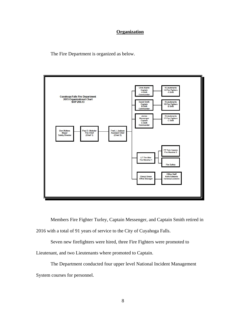### **Organization**

The Fire Department is organized as below.



Members Fire Fighter Turley, Captain Messenger, and Captain Smith retired in

2016 with a total of 91 years of service to the City of Cuyahoga Falls.

Seven new firefighters were hired, three Fire Fighters were promoted to

Lieutenant, and two Lieutenants where promoted to Captain.

The Department conducted four upper level National Incident Management System courses for personnel.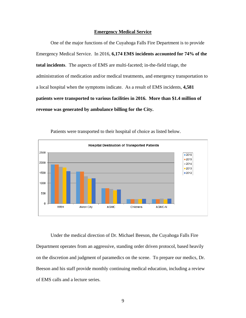#### **Emergency Medical Service**

One of the major functions of the Cuyahoga Falls Fire Department is to provide Emergency Medical Service. In 2016, **6,174 EMS incidents accounted for 74% of the total incidents**. The aspects of EMS are multi-faceted; in-the-field triage, the administration of medication and/or medical treatments, and emergency transportation to a local hospital when the symptoms indicate. As a result of EMS incidents, **4,581 patients were transported to various facilities in 2016. More than \$1.4 million of revenue was generated by ambulance billing for the City.** 



Patients were transported to their hospital of choice as listed below.

Under the medical direction of Dr. Michael Beeson, the Cuyahoga Falls Fire Department operates from an aggressive, standing order driven protocol, based heavily on the discretion and judgment of paramedics on the scene. To prepare our medics, Dr. Beeson and his staff provide monthly continuing medical education, including a review of EMS calls and a lecture series.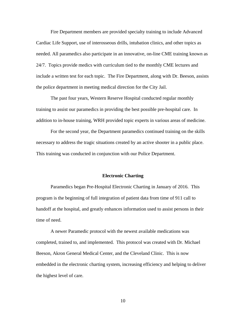Fire Department members are provided specialty training to include Advanced Cardiac Life Support, use of interosseous drills, intubation clinics, and other topics as needed. All paramedics also participate in an innovative, on-line CME training known as 24/7. Topics provide medics with curriculum tied to the monthly CME lectures and include a written test for each topic. The Fire Department, along with Dr. Beeson, assists the police department in meeting medical direction for the City Jail.

The past four years, Western Reserve Hospital conducted regular monthly training to assist our paramedics in providing the best possible pre-hospital care. In addition to in-house training, WRH provided topic experts in various areas of medicine.

For the second year, the Department paramedics continued training on the skills necessary to address the tragic situations created by an active shooter in a public place. This training was conducted in conjunction with our Police Department.

#### **Electronic Charting**

Paramedics began Pre-Hospital Electronic Charting in January of 2016. This program is the beginning of full integration of patient data from time of 911 call to handoff at the hospital, and greatly enhances information used to assist persons in their time of need.

A newer Paramedic protocol with the newest available medications was completed, trained to, and implemented. This protocol was created with Dr. Michael Beeson, Akron General Medical Center, and the Cleveland Clinic. This is now embedded in the electronic charting system, increasing efficiency and helping to deliver the highest level of care.

10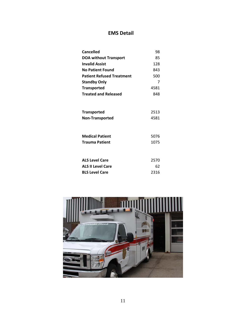# **EMS Detail**

| Cancelled                                    | 98           |
|----------------------------------------------|--------------|
| <b>DOA without Transport</b>                 | 85           |
| <b>Invalid Assist</b>                        | 128          |
| <b>No Patient Found</b>                      | 843          |
| <b>Patient Refused Treatment</b>             | 500          |
| <b>Standby Only</b>                          | 7            |
| <b>Transported</b>                           | 4581         |
| <b>Treated and Released</b>                  | 848          |
| <b>Transported</b><br><b>Non-Transported</b> | 2513<br>4581 |
| <b>Medical Patient</b><br>Trauma Patient     | 5076<br>1075 |
| <b>ALS Level Care</b>                        | 2570         |
| <b>ALS II Level Care</b>                     | 62           |
| <b>BLS Level Care</b>                        | 2316         |

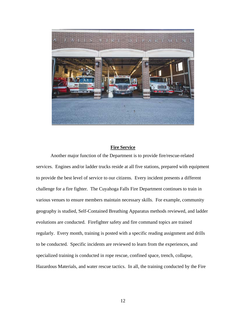

### **Fire Service**

Another major function of the Department is to provide fire/rescue-related services. Engines and/or ladder trucks reside at all five stations, prepared with equipment to provide the best level of service to our citizens. Every incident presents a different challenge for a fire fighter. The Cuyahoga Falls Fire Department continues to train in various venues to ensure members maintain necessary skills. For example, community geography is studied, Self-Contained Breathing Apparatus methods reviewed, and ladder evolutions are conducted. Firefighter safety and fire command topics are trained regularly. Every month, training is posted with a specific reading assignment and drills to be conducted. Specific incidents are reviewed to learn from the experiences, and specialized training is conducted in rope rescue, confined space, trench, collapse, Hazardous Materials, and water rescue tactics. In all, the training conducted by the Fire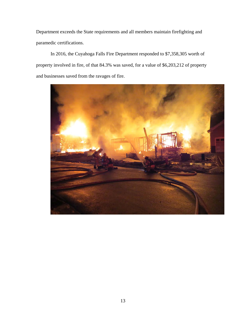Department exceeds the State requirements and all members maintain firefighting and paramedic certifications.

In 2016, the Cuyahoga Falls Fire Department responded to \$7,358,305 worth of property involved in fire, of that 84.3% was saved, for a value of \$6,203,212 of property and businesses saved from the ravages of fire.

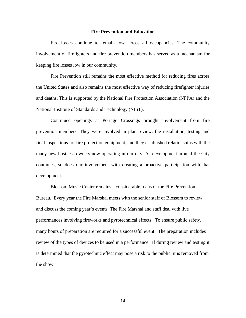#### **Fire Prevention and Education**

Fire losses continue to remain low across all occupancies. The community involvement of firefighters and fire prevention members has served as a mechanism for keeping fire losses low in our community.

 Fire Prevention still remains the most effective method for reducing fires across the United States and also remains the most effective way of reducing firefighter injuries and deaths. This is supported by the National Fire Protection Association (NFPA) and the National Institute of Standards and Technology (NIST).

Continued openings at Portage Crossings brought involvement from fire prevention members. They were involved in plan review, the installation, testing and final inspections for fire protection equipment, and they established relationships with the many new business owners now operating in our city. As development around the City continues, so does our involvement with creating a proactive participation with that development.

Blossom Music Center remains a considerable focus of the Fire Prevention Bureau. Every year the Fire Marshal meets with the senior staff of Blossom to review and discuss the coming year's events. The Fire Marshal and staff deal with live performances involving fireworks and pyrotechnical effects. To ensure public safety, many hours of preparation are required for a successful event. The preparation includes review of the types of devices to be used in a performance. If during review and testing it is determined that the pyrotechnic effect may pose a risk to the public, it is removed from the show.

14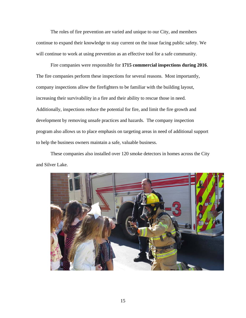The roles of fire prevention are varied and unique to our City, and members continue to expand their knowledge to stay current on the issue facing public safety. We will continue to work at using prevention as an effective tool for a safe community.

Fire companies were responsible for **1715 commercial inspections during 2016**. The fire companies perform these inspections for several reasons. Most importantly, company inspections allow the firefighters to be familiar with the building layout, increasing their survivability in a fire and their ability to rescue those in need. Additionally, inspections reduce the potential for fire, and limit the fire growth and development by removing unsafe practices and hazards. The company inspection program also allows us to place emphasis on targeting areas in need of additional support to help the business owners maintain a safe, valuable business.

These companies also installed over 120 smoke detectors in homes across the City and Silver Lake.

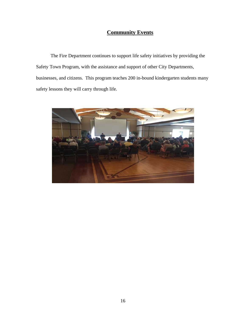# **Community Events**

 The Fire Department continues to support life safety initiatives by providing the Safety Town Program, with the assistance and support of other City Departments, businesses, and citizens. This program teaches 200 in-bound kindergarten students many safety lessons they will carry through life.

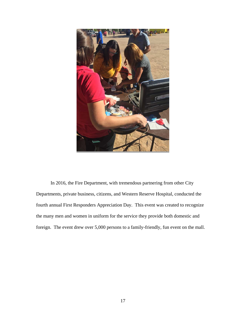

In 2016, the Fire Department, with tremendous partnering from other City Departments, private business, citizens, and Western Reserve Hospital, conducted the fourth annual First Responders Appreciation Day. This event was created to recognize the many men and women in uniform for the service they provide both domestic and foreign. The event drew over 5,000 persons to a family-friendly, fun event on the mall.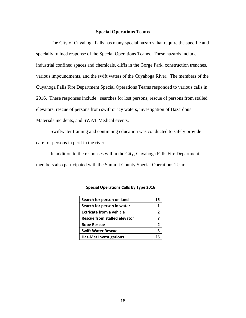#### **Special Operations Teams**

The City of Cuyahoga Falls has many special hazards that require the specific and specially trained response of the Special Operations Teams. These hazards include industrial confined spaces and chemicals, cliffs in the Gorge Park, construction trenches, various impoundments, and the swift waters of the Cuyahoga River. The members of the Cuyahoga Falls Fire Department Special Operations Teams responded to various calls in 2016. These responses include: searches for lost persons, rescue of persons from stalled elevators, rescue of persons from swift or icy waters, investigation of Hazardous Materials incidents, and SWAT Medical events.

Swiftwater training and continuing education was conducted to safely provide care for persons in peril in the river.

In addition to the responses within the City, Cuyahoga Falls Fire Department members also participated with the Summit County Special Operations Team.

| Search for person on land           |    |  |  |  |
|-------------------------------------|----|--|--|--|
| Search for person in water          |    |  |  |  |
| <b>Extricate from a vehicle</b>     |    |  |  |  |
| <b>Rescue from stalled elevator</b> |    |  |  |  |
| <b>Rope Rescue</b>                  |    |  |  |  |
| <b>Swift Water Rescue</b>           |    |  |  |  |
| <b>Haz-Mat Investigations</b>       | יכ |  |  |  |

#### **Special Operations Calls by Type 2016**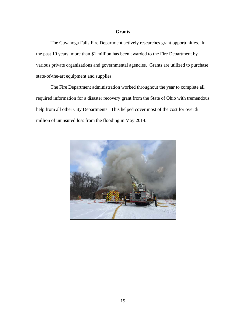### **Grants**

The Cuyahoga Falls Fire Department actively researches grant opportunities. In the past 10 years, more than \$1 million has been awarded to the Fire Department by various private organizations and governmental agencies. Grants are utilized to purchase state-of-the-art equipment and supplies.

The Fire Department administration worked throughout the year to complete all required information for a disaster recovery grant from the State of Ohio with tremendous help from all other City Departments. This helped cover most of the cost for over \$1 million of uninsured loss from the flooding in May 2014.

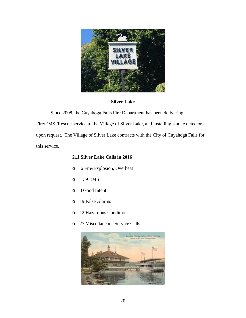

## **Silver Lake**

Since 2008, the Cuyahoga Falls Fire Department has been delivering

Fire/EMS /Rescue service to the Village of Silver Lake, and installing smoke detectors upon request. The Village of Silver Lake contracts with the City of Cuyahoga Falls for this service.

## **211 Silver Lake Calls in 2016**

- o 6 Fire/Explosion, Overheat
- o 139 EMS
- o 8 Good Intent
- o 19 False Alarms
- o 12 Hazardous Condition
- o 27 Miscellaneous Service Calls